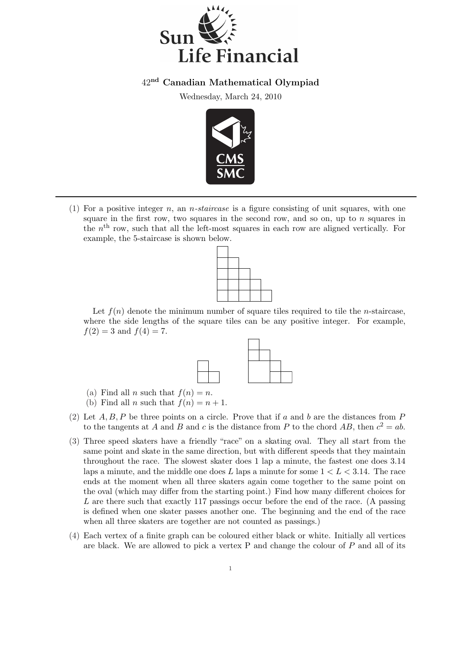

## 42nd Canadian Mathematical Olympiad

Wednesday, March 24, 2010



(1) For a positive integer n, an n-staircase is a figure consisting of unit squares, with one square in the first row, two squares in the second row, and so on, up to  $n$  squares in the  $n<sup>th</sup>$  row, such that all the left-most squares in each row are aligned vertically. For example, the 5-staircase is shown below.



Let  $f(n)$  denote the minimum number of square tiles required to tile the *n*-staircase, where the side lengths of the square tiles can be any positive integer. For example,  $f(2) = 3$  and  $f(4) = 7$ .



- (a) Find all *n* such that  $f(n) = n$ .
- (b) Find all n such that  $f(n) = n + 1$ .
- (2) Let  $A, B, P$  be three points on a circle. Prove that if a and b are the distances from P to the tangents at A and B and c is the distance from P to the chord AB, then  $c^2 = ab$ .
- (3) Three speed skaters have a friendly "race" on a skating oval. They all start from the same point and skate in the same direction, but with different speeds that they maintain throughout the race. The slowest skater does 1 lap a minute, the fastest one does 3.14 laps a minute, and the middle one does L laps a minute for some  $1 < L < 3.14$ . The race ends at the moment when all three skaters again come together to the same point on the oval (which may differ from the starting point.) Find how many different choices for L are there such that exactly 117 passings occur before the end of the race. (A passing is defined when one skater passes another one. The beginning and the end of the race when all three skaters are together are not counted as passings.)
- (4) Each vertex of a finite graph can be coloured either black or white. Initially all vertices are black. We are allowed to pick a vertex  $P$  and change the colour of  $P$  and all of its